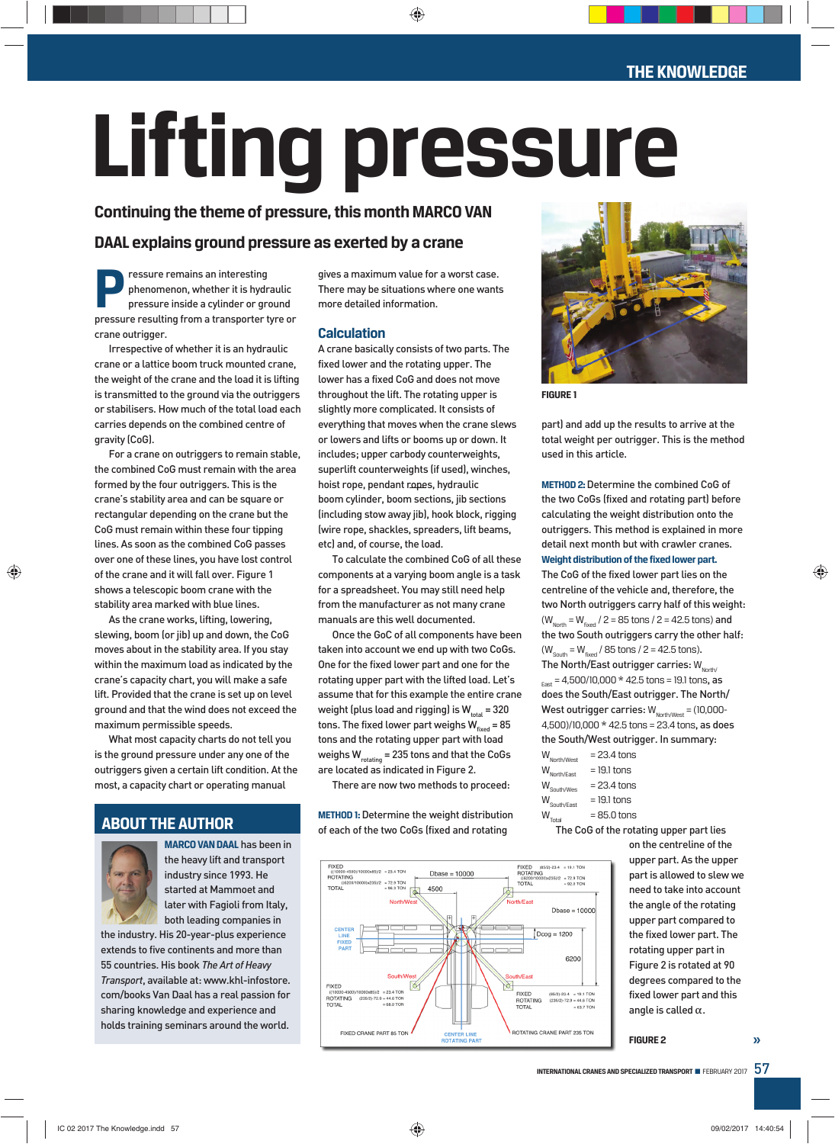# **Lifting pressure**

# **Continuing the theme of pressure, this month MARCO VAN**

# **DAAL explains ground pressure as exerted by a crane**

**Pressure remains an interesting<br>
phenomenon, whether it is hydraulic<br>
pressure inside a cylinder or ground<br>
pressure resulting from a transporter tyre of** phenomenon, whether it is hydraulic pressure resulting from a transporter tyre or crane outrigger.

Irrespective of whether it is an hydraulic crane or a lattice boom truck mounted crane, the weight of the crane and the load it is lifting is transmitted to the ground via the outriggers or stabilisers. How much of the total load each carries depends on the combined centre of gravity (CoG).

For a crane on outriggers to remain stable, the combined CoG must remain with the area formed by the four outriggers. This is the crane's stability area and can be square or rectangular depending on the crane but the CoG must remain within these four tipping lines. As soon as the combined CoG passes over one of these lines, you have lost control of the crane and it will fall over. Figure 1 shows a telescopic boom crane with the stability area marked with blue lines.

As the crane works, lifting, lowering, slewing, boom (or jib) up and down, the CoG moves about in the stability area. If you stay within the maximum load as indicated by the crane's capacity chart, you will make a safe lift. Provided that the crane is set up on level ground and that the wind does not exceed the maximum permissible speeds.

What most capacity charts do not tell you is the ground pressure under any one of the outriggers given a certain lift condition. At the most, a capacity chart or operating manual

# **ABOUT THE AUTHOR**



**MARCO VAN DAAL** has been in the heavy lift and transport industry since 1993. He started at Mammoet and later with Fagioli from Italy, both leading companies in

the industry. His 20-year-plus experience extends to five continents and more than 55 countries. His book *The Art of Heavy Transport*, available at: www.khl-infostore. com/books Van Daal has a real passion for sharing knowledge and experience and holds training seminars around the world.

gives a maximum value for a worst case. There may be situations where one wants more detailed information.

# **Calculation**

A crane basically consists of two parts. The fixed lower and the rotating upper. The lower has a fixed CoG and does not move throughout the lift. The rotating upper is slightly more complicated. It consists of everything that moves when the crane slews or lowers and lifts or booms up or down. It includes; upper carbody counterweights, superlift counterweights (if used), winches, hoist rope, pendant ropes, hydraulic boom cylinder, boom sections, jib sections (including stow away jib), hook block, rigging (wire rope, shackles, spreaders, lift beams, etc) and, of course, the load.

To calculate the combined CoG of all these components at a varying boom angle is a task for a spreadsheet. You may still need help from the manufacturer as not many crane manuals are this well documented.

Once the GoC of all components have been taken into account we end up with two CoGs. One for the fixed lower part and one for the rotating upper part with the lifted load. Let's assume that for this example the entire crane weight (plus load and rigging) is  $W_{total} = 320$ tons. The fixed lower part weighs  $W_{fixed} = 85$ tons and the rotating upper part with load weighs  $W_{\text{rotating}} = 235$  tons and that the CoGs are located as indicated in Figure 2.

There are now two methods to proceed:

**METHOD 1:**Determine the weight distribution of each of the two CoGs (fixed and rotating





**FIGURE 1**

part) and add up the results to arrive at the total weight per outrigger. This is the method used in this article.

**METHOD 2:** Determine the combined CoG of the two CoGs (fixed and rotating part) before calculating the weight distribution onto the outriggers. This method is explained in more detail next month but with crawler cranes. **Weight distribution of the fixed lower part.**

The CoG of the fixed lower part lies on the centreline of the vehicle and, therefore, the two North outriggers carry half of this weight:  $(W_{\text{North}} = W_{\text{fixed}} / 2 = 85 \text{ tons} / 2 = 42.5 \text{ tons})$  and the two South outriggers carry the other half:  $(W_{\text{South}} = W_{\text{fixed}} / 85 \text{ tons} / 2 = 42.5 \text{ tons}).$ 

The North/East outrigger carries:  $W_{\text{North}}$  $E_{\text{fast}} = 4,500/10,000 * 42.5 \text{ tons} = 19.1 \text{ tons}, \text{as}$ does the South/East outrigger. The North/ West outrigger carries:  $W_{\text{North/West}} = (10,000 -$ 4,500)/10,000 \* 42.5 tons = 23.4 tons, as does the South/West outrigger. In summary:

| $= 23.4$ tons |
|---------------|
| $= 19.1$ tons |
| $= 23.4$ tons |
| $= 19.1$ tons |
| $= 85.0$ tons |
|               |

The CoG of the rotating upper part lies

on the centreline of the upper part. As the upper part is allowed to slew we need to take into account the angle of the rotating upper part compared to the fixed lower part. The rotating upper part in Figure 2 is rotated at 90 degrees compared to the fixed lower part and this angle is called  $\alpha$ .

**FIGURE 2 »**